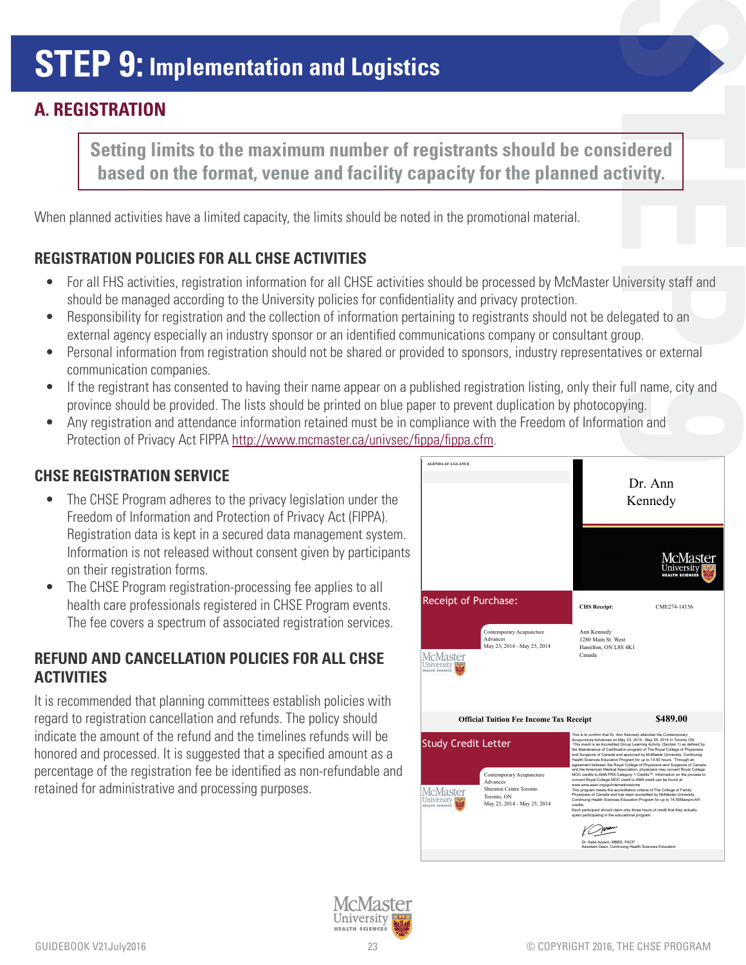# **STEP 9: Implementation and Logistics**

## **A. REGISTRATION**

**Setting limits to the maximum number of registrants should be considered based on the format, venue and facility capacity for the planned activity.** 

When planned activities have a limited capacity, the limits should be noted in the promotional material.

### **REGISTRATION POLICIES FOR ALL CHSE ACTIVITIES**

- For all FHS activities, registration information for all CHSE activities should be processed by McMaster University staff and should be managed according to the University policies for confidentiality and privacy protection. **STREET STREET STREET STREET STREET STREET STREET STREET STREET STREET STREET STREET STREET STREET STREET STREET STREET STREET STREET STREET STREET STREET STREET STREET STREET STREET STREET STREET STREET STREET STREET STRE**
- Responsibility for registration and the collection of information pertaining to registrants should not be delegated to an external agency especially an industry sponsor or an identified communications company or consultant group.
- Personal information from registration should not be shared or provided to sponsors, industry representatives or external communication companies.
- If the registrant has consented to having their name appear on a published registration listing, only their full name, city and province should be provided. The lists should be printed on blue paper to prevent duplication by photocopying. **1999**<br>**1999**<br>**1999**<br>**1999**<br>**1999**<br>**1999**<br>**1999**
- Any registration and attendance information retained must be in compliance with the Freedom of Information and Protection of Privacy Act FIPPA http://www.mcmaster.ca/univsec/fippa/fippa.cfm.

#### **CHSE REGISTRATION SERVICE**

- The CHSE Program adheres to the privacy legislation under the Freedom of Information and Protection of Privacy Act (FIPPA). Registration data is kept in a secured data management system. Information is not released without consent given by participants on their registration forms.
- The CHSE Program registration-processing fee applies to all health care professionals registered in CHSE Program events. The fee covers a spectrum of associated registration services.

#### **REFUND AND CANCELLATION POLICIES FOR ALL CHSE ACTIVITIES**

It is recommended that planning committees establish policies with regard to registration cancellation and refunds. The policy should indicate the amount of the refund and the timelines refunds will be honored and processed. It is suggested that a specified amount as a percentage of the registration fee be identified as non-refundable and retained for administrative and processing purposes.